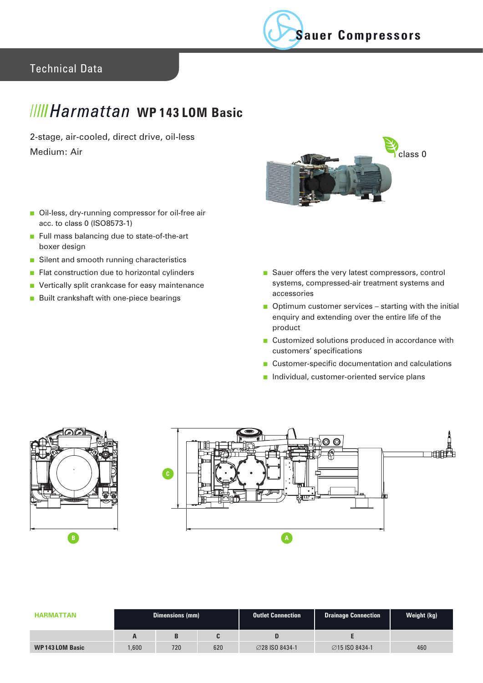

## Technical Data

## *IIIII Harmattan* WP143 LOM Basic

2-stage, air-cooled, direct drive, oil-less Medium: Air



- Oil-less, dry-running compressor for oil-free air acc. to class 0 (ISO8573-1)
- Full mass balancing due to state-of-the-art boxer design
- Silent and smooth running characteristics
- Flat construction due to horizontal cylinders
- Vertically split crankcase for easy maintenance
- Built crankshaft with one-piece bearings
- Sauer offers the very latest compressors, control systems, compressed-air treatment systems and accessories
- Optimum customer services starting with the initial enquiry and extending over the entire life of the product
- Customized solutions produced in accordance with customers' specifications
- Customer-specific documentation and calculations
- Individual, customer-oriented service plans





| <b>HARMATTAN</b>      | <b>Dimensions (mm)</b> |     |     | Outlet Connection     | <b>Drainage Connection</b> | Weight (kg) |
|-----------------------|------------------------|-----|-----|-----------------------|----------------------------|-------------|
|                       |                        |     |     |                       |                            |             |
| <b>WP143LOM Basic</b> | .600                   | 720 | 620 | <b>⊘28 ISO 8434-1</b> | <b>⊘15 ISO 8434-1</b>      | 460         |